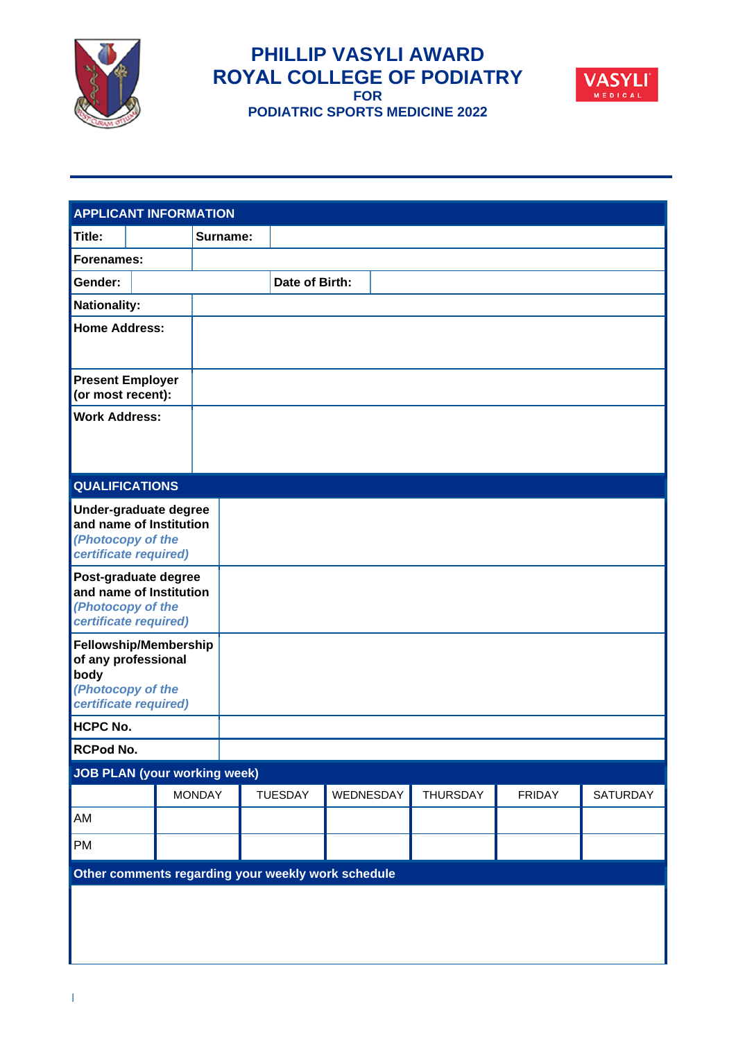

**PHILLIP VASYLI AWARD ROYAL COLLEGE OF PODIATRY FOR PODIATRIC SPORTS MEDICINE 2022**



| <b>APPLICANT INFORMATION</b>                                                                              |  |               |                |           |                 |               |                 |
|-----------------------------------------------------------------------------------------------------------|--|---------------|----------------|-----------|-----------------|---------------|-----------------|
| Title:                                                                                                    |  | Surname:      |                |           |                 |               |                 |
| Forenames:                                                                                                |  |               |                |           |                 |               |                 |
| Gender:                                                                                                   |  |               | Date of Birth: |           |                 |               |                 |
| <b>Nationality:</b>                                                                                       |  |               |                |           |                 |               |                 |
| <b>Home Address:</b>                                                                                      |  |               |                |           |                 |               |                 |
| <b>Present Employer</b><br>(or most recent):                                                              |  |               |                |           |                 |               |                 |
| <b>Work Address:</b>                                                                                      |  |               |                |           |                 |               |                 |
| <b>QUALIFICATIONS</b>                                                                                     |  |               |                |           |                 |               |                 |
| Under-graduate degree<br>and name of Institution<br>(Photocopy of the<br>certificate required)            |  |               |                |           |                 |               |                 |
| Post-graduate degree<br>and name of Institution<br>(Photocopy of the<br>certificate required)             |  |               |                |           |                 |               |                 |
| <b>Fellowship/Membership</b><br>of any professional<br>body<br>(Photocopy of the<br>certificate required) |  |               |                |           |                 |               |                 |
| <b>HCPC No.</b>                                                                                           |  |               |                |           |                 |               |                 |
| RCPod No.                                                                                                 |  |               |                |           |                 |               |                 |
| <b>JOB PLAN (your working week)</b>                                                                       |  |               |                |           |                 |               |                 |
|                                                                                                           |  | <b>MONDAY</b> | <b>TUESDAY</b> | WEDNESDAY | <b>THURSDAY</b> | <b>FRIDAY</b> | <b>SATURDAY</b> |
| AM                                                                                                        |  |               |                |           |                 |               |                 |
| PM                                                                                                        |  |               |                |           |                 |               |                 |
| Other comments regarding your weekly work schedule                                                        |  |               |                |           |                 |               |                 |
|                                                                                                           |  |               |                |           |                 |               |                 |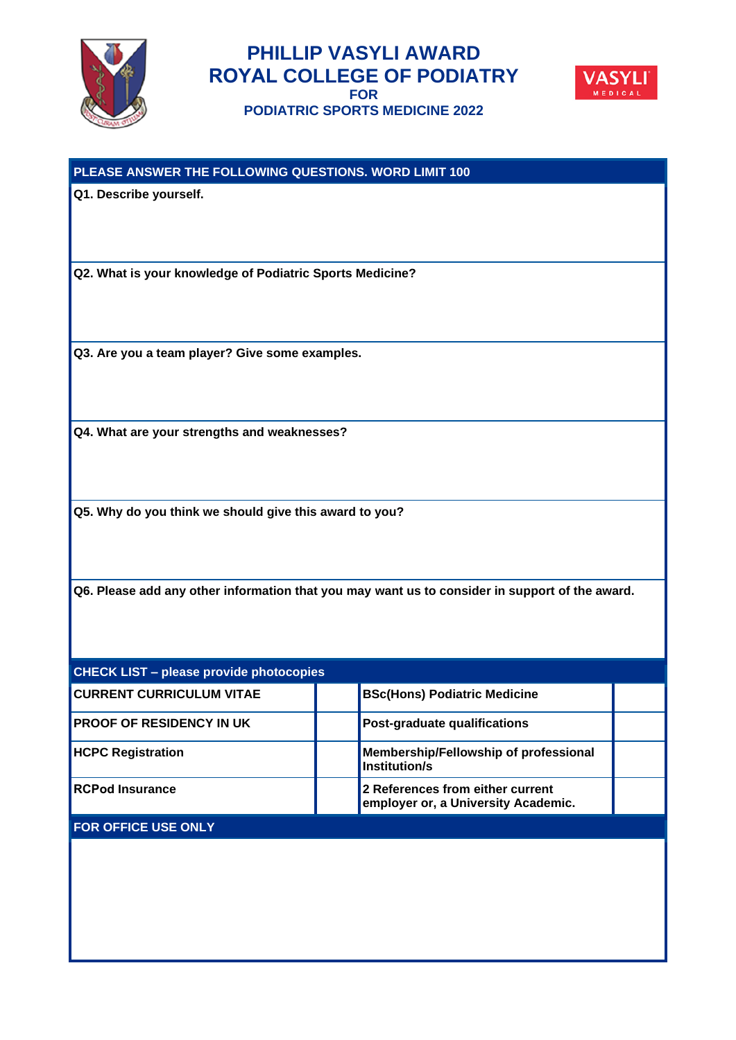



| PLEASE ANSWER THE FOLLOWING QUESTIONS. WORD LIMIT 100                                          |  |                                                                         |  |  |  |  |
|------------------------------------------------------------------------------------------------|--|-------------------------------------------------------------------------|--|--|--|--|
| Q1. Describe yourself.                                                                         |  |                                                                         |  |  |  |  |
|                                                                                                |  |                                                                         |  |  |  |  |
|                                                                                                |  |                                                                         |  |  |  |  |
| Q2. What is your knowledge of Podiatric Sports Medicine?                                       |  |                                                                         |  |  |  |  |
|                                                                                                |  |                                                                         |  |  |  |  |
|                                                                                                |  |                                                                         |  |  |  |  |
|                                                                                                |  |                                                                         |  |  |  |  |
| Q3. Are you a team player? Give some examples.                                                 |  |                                                                         |  |  |  |  |
|                                                                                                |  |                                                                         |  |  |  |  |
|                                                                                                |  |                                                                         |  |  |  |  |
| Q4. What are your strengths and weaknesses?                                                    |  |                                                                         |  |  |  |  |
|                                                                                                |  |                                                                         |  |  |  |  |
|                                                                                                |  |                                                                         |  |  |  |  |
| Q5. Why do you think we should give this award to you?                                         |  |                                                                         |  |  |  |  |
|                                                                                                |  |                                                                         |  |  |  |  |
|                                                                                                |  |                                                                         |  |  |  |  |
| Q6. Please add any other information that you may want us to consider in support of the award. |  |                                                                         |  |  |  |  |
|                                                                                                |  |                                                                         |  |  |  |  |
|                                                                                                |  |                                                                         |  |  |  |  |
| <b>CHECK LIST - please provide photocopies</b>                                                 |  |                                                                         |  |  |  |  |
| <b>CURRENT CURRICULUM VITAE</b>                                                                |  | <b>BSc(Hons) Podiatric Medicine</b>                                     |  |  |  |  |
| <b>PROOF OF RESIDENCY IN UK</b>                                                                |  | Post-graduate qualifications                                            |  |  |  |  |
| <b>HCPC Registration</b>                                                                       |  | Membership/Fellowship of professional                                   |  |  |  |  |
|                                                                                                |  | <b>Institution/s</b>                                                    |  |  |  |  |
| <b>RCPod Insurance</b>                                                                         |  | 2 References from either current<br>employer or, a University Academic. |  |  |  |  |
| FOR OFFICE USE ONLY                                                                            |  |                                                                         |  |  |  |  |
|                                                                                                |  |                                                                         |  |  |  |  |
|                                                                                                |  |                                                                         |  |  |  |  |
|                                                                                                |  |                                                                         |  |  |  |  |